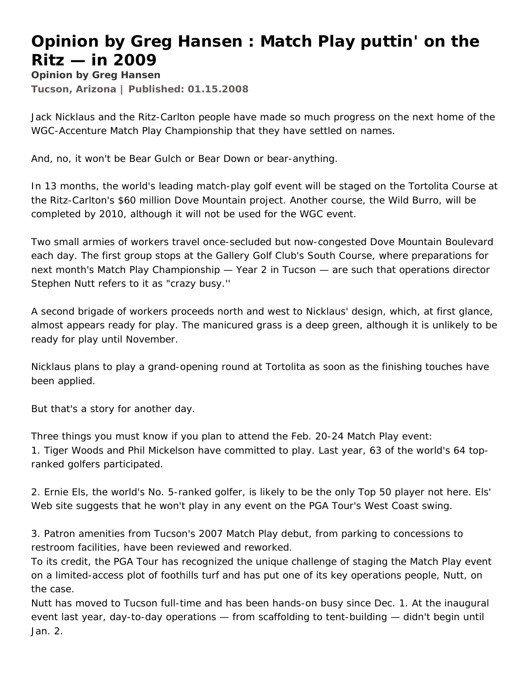## **Opinion by Greg Hansen : Match Play puttin' on the Ritz — in 2009**

**Opinion by Greg Hansen Tucson, Arizona | Published: 01.15.2008** 

Jack Nicklaus and the Ritz-Carlton people have made so much progress on the next home of the WGC-Accenture Match Play Championship that they have settled on names.

And, no, it won't be Bear Gulch or Bear Down or bear-anything.

In 13 months, the world's leading match-play golf event will be staged on the Tortolita Course at the Ritz-Carlton's \$60 million Dove Mountain project. Another course, the Wild Burro, will be completed by 2010, although it will not be used for the WGC event.

Two small armies of workers travel once-secluded but now-congested Dove Mountain Boulevard each day. The first group stops at the Gallery Golf Club's South Course, where preparations for next month's Match Play Championship — Year 2 in Tucson — are such that operations director Stephen Nutt refers to it as "crazy busy.''

A second brigade of workers proceeds north and west to Nicklaus' design, which, at first glance, almost appears ready for play. The manicured grass is a deep green, although it is unlikely to be ready for play until November.

Nicklaus plans to play a grand-opening round at Tortolita as soon as the finishing touches have been applied.

But that's a story for another day.

Three things you must know if you plan to attend the Feb. 20-24 Match Play event: 1. Tiger Woods and Phil Mickelson have committed to play. Last year, 63 of the world's 64 topranked golfers participated.

2. Ernie Els, the world's No. 5-ranked golfer, is likely to be the only Top 50 player not here. Els' Web site suggests that he won't play in any event on the PGA Tour's West Coast swing.

3. Patron amenities from Tucson's 2007 Match Play debut, from parking to concessions to restroom facilities, have been reviewed and reworked.

To its credit, the PGA Tour has recognized the unique challenge of staging the Match Play event on a limited-access plot of foothills turf and has put one of its key operations people, Nutt, on the case.

Nutt has moved to Tucson full-time and has been hands-on busy since Dec. 1. At the inaugural event last year, day-to-day operations — from scaffolding to tent-building — didn't begin until Jan. 2.